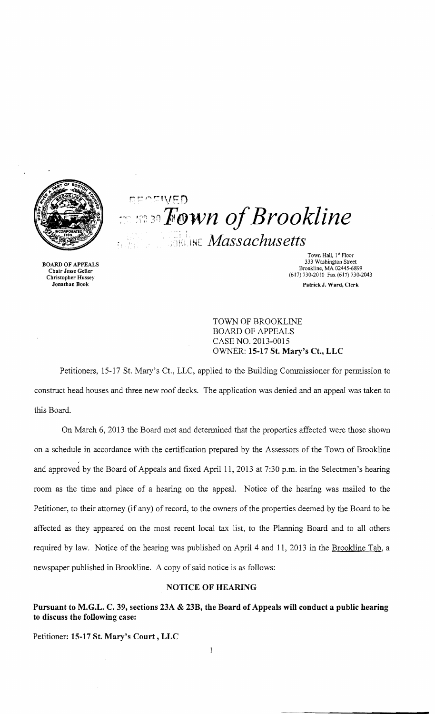

RECEWED  $r$ <sup>20</sup> *x Pown of Brookline* **ELINE** *Massachusetts* 

Town Hall, 1st Floor<br>333 Washington Street 333 Washington Street 333 Washington Street 333 Washington Street 333 Washington Street Brookline, MA 02445-6899<br>Chair Jesse Geller (617) 730-2010 Fax (617) 730-2010 Fax (617) 730-2043 Jonathan Book PatrickJ. Ward, Clerk

> TOWN OF BROOKLINE BOARD OF APPEALS CASE NO. 2013-0015 oVINER: **15-17 St. Mary's Ct., LLC**

Petitioners, 15-17 St. Mary's Ct., LLC, applied to the Building Commissioner for permission to construct head houses and three new roof decks. The application was denied and an appeal was taken to this Board.

On March 6, 2013 the Board met and determined that the properties affected were those shown on a schedule in accordance with the certification prepared by the Assessors of the Town of Brookline and approved by the Board of Appeals and fixed April 11, 2013 at 7:30 p.m. in the Selectmen's hearing room as the time and place of a hearing on the appeal. Notice of the hearing was mailed to the Petitioner, to their attorney (if any) of record, to the owners of the properties deemed by the Board to be affected as they appeared on the most recent local tax list, to the Planning Board and to all others required by law. Notice of the hearing was published on April 4 and 11, 2013 in the Brookline Tab, a newspaper published in Brookline. A copy of said notice is as follows:

## **NOTICE OF HEARING**

**Pursuant to M.G.L. C. 39, sections 23A & 23B, the Board of Appeals will conduct a public hearing to discuss the following case:** 

Petitioner: **15-17 St. Mary's Court, LLC**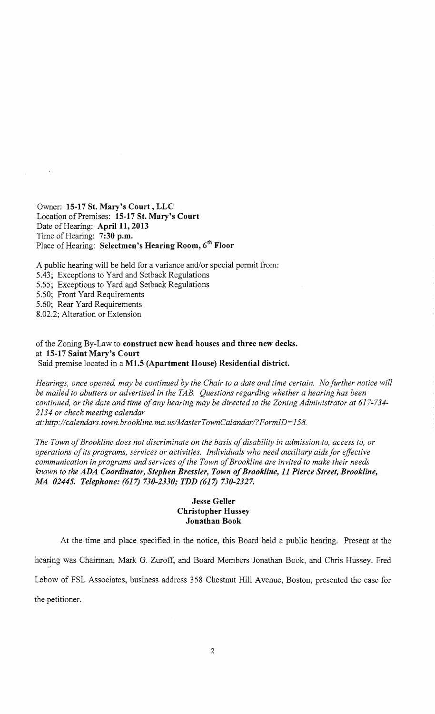Owner: 15-17 St. Mary's Court, LLC Location of Premises: 15-17 St. Mary's Court Date of Hearing: April 11, 2013 Time of Hearing: 7:30 p.m. Place of Hearing: Selectmen's Hearing Room, 6<sup>th</sup> Floor

A public hearing will be held for a variance and/or special permit from: 5.43; Exceptions to Yard and Setback Regulations 5.55; Exceptions to Yard and Setback Regulations 5.50; Front Yard Requirements 5.60; Rear Yard Requirements 8.02.2; Alteration or Extension

of the Zoning By-Law to construct new head houses and three new decks. at 15-17 Saint Mary's Court Said premise located in a M1.5 (Apartment House) Residential district.

*Hearings, once opened, may be continued by the Chair to a date and time certain. No further notice will be mailed to abutters or advertised in the TAB. Questions regarding whether a hearing has been continued, or the date and time ofany hearing may be directed* to *the Zoning Administrator at 617-734 2134 or check meeting calendar at: http://calendars.town.brookline.ma.usIMasterTownCalandarl? FormID= 158.* 

The Town of Brookline does not discriminate on the basis of disability in admission to, access to, or *operations ofits programs, services or activities. Individuals who need auxiliary aids for effective* 

*communication in programs and services ofthe Town ofBrookline are invited to make their needs known to the* ADA *Coordinator, Stephen Bressler, Town ofBrookline,* 11 *Pierce Street, Brookline, MA 02445. Telephone:* (617) *730-2330; TDD* (617) *730-2327.* 

## Jesse Geller Christopher Hussey Jonathan Book

At the time and place specified in the notice, this Board held a public hearing. Present at the hearing was Chairman, Mark G. Zuroff, and Board Members Jonathan Book, and Chris Hussey. Fred " Lebow of FSL Associates, business address 358 Chestnut Hill Avenue, Boston, presented the case for the petitioner.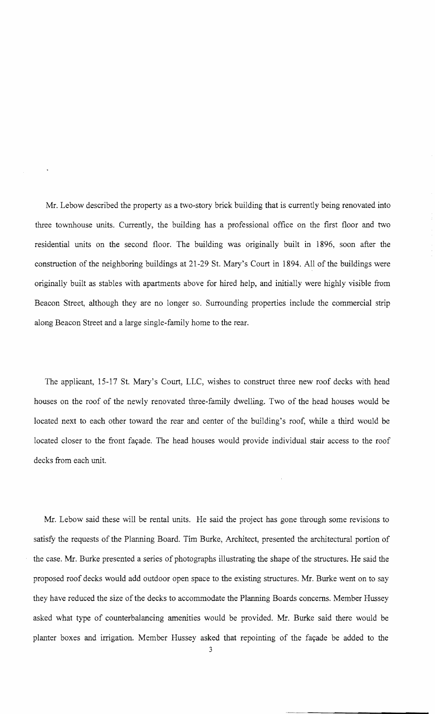Mr. Lebow described the property as a two-story brick building that is currently being renovated into three townhouse units. Currently, the building has a professional office on the first floor and two residential units on the second floor. The building was originally built in 1896, soon after the construction of the neighboring buildings at 21-29 St. Mary's Court in 1894. All of the buildings were originally built as stables with apartments above for hired help, and initially were highly visible from Beacon Street, although they are no longer so. Surrounding properties include the commercial strip along Beacon Street and a large single-family home to the rear.

The applicant, 15-17 St. Mary's Court, LLC, wishes to construct three new roof decks with head houses on the roof of the newly renovated three-family dwelling. Two of the head houses would be located next to each other toward the rear and center of the building's roof, while a third would be located closer to the front façade. The head houses would provide individual stair access to the roof decks from each unit.

Mr. Lebow said these will be rental units. He said the project has gone through some revisions to satisfy the requests of the Planning Board. Tim Burke, Architect, presented the architectural portion of the case. Mr. Burke presented a series of photographs illustrating the shape of the structures. He said the proposed roof decks would add outdoor open space to the existing structures. Mr. Burke went on to say they have reduced the size of the decks to accommodate the Planning Boards concerns. Member Hussey asked what type of counterbalancing amenities would be provided. Mr. Burke said there would be planter boxes and irrigation. Member Hussey asked that repointing of the fayade be added to the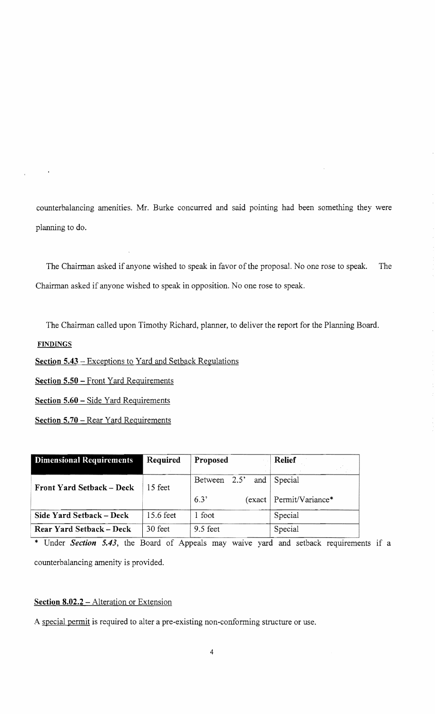counterbalancing amenities. Mr. Burke concurred and said pointing had been something they were planning to do.

The Chairman asked if anyone wished to speak in favor of the proposal. No one rose to speak. The Chairman asked if anyone wished to speak in opposition. No one rose to speak.

The Chairman called upon Timothy Richard, planner, to deliver the report for the Planning Board.

**FINDINGS** 

Section  $5.43$  – Exceptions to Yard and Setback Regulations

Section 5.50 - Front Yard Requirements

Section 5.60 - Side Yard Requirements

Section 5.70 - Rear Yard Requirements

| <b>Dimensional Requirements</b>  | Required  | Proposed            | <b>Relief</b>             |
|----------------------------------|-----------|---------------------|---------------------------|
| <b>Front Yard Setback – Deck</b> | 15 feet   | Between 2.5'<br>and | Special                   |
|                                  |           | 6.3'                | (exact   Permit/Variance* |
| Side Yard Setback – Deck         | 15.6 feet | foot                | Special                   |
| Rear Yard Setback - Deck         | 30 feet   | 9.5 feet            | Special                   |

\* Under *Section* 5.43, the Board of Appeals may waive yard and setback requirements if a counterbalancing amenity is provided.

## Section 8.02.2 - Alteration or Extension

A special permit is required to alter a pre-existing non-conforming structure or use.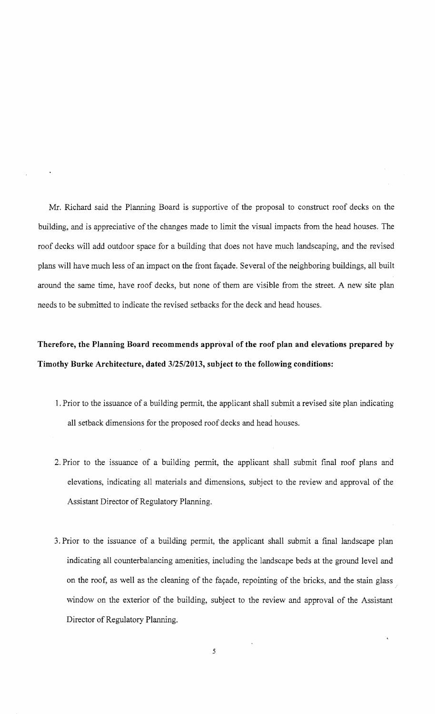Mr. Richard said the Planning Board is supportive of the proposal to construct roof decks on the building, and is appreciative of the changes made to limit the visual impacts from the head houses. The roof decks will add outdoor space for a building that does not have much landscaping, and the revised plans will have much less of an impact on the front façade. Several of the neighboring buildings, all built around the same time, have roof decks, but none of them are visible from the street. A new site plan needs to be submitted to indicate the revised setbacks for the deck and head houses.

## **Therefore, the Planning Board recommends approval of the roof plan and elevations prepared by Timothy Burke Architecture, dated 3/25/2013, subject to the following conditions:**

- 1. Prior to the issuance of a building permit, the applicant shall submit a revised site plan indicating all setback dimensions for the proposed roof decks and head houses.
- 2. Prior to the issuance of a building permit, the applicant shall submit final roof plans and elevations, indicating all materials and dimensions, subject to the review and approval of the Assistant Director of Regulatory Planning.
- 3. Prior to the issuance of a building permit, the applicant shall submit a final landscape plan indicating all counterbalancing amenities, including the landscape beds at the ground level and on the roof, as well as the cleaning of the façade, repointing of the bricks, and the stain glass window on the exterior of the building, subject to the review and approval of the Assistant Director of Regulatory Planning.

5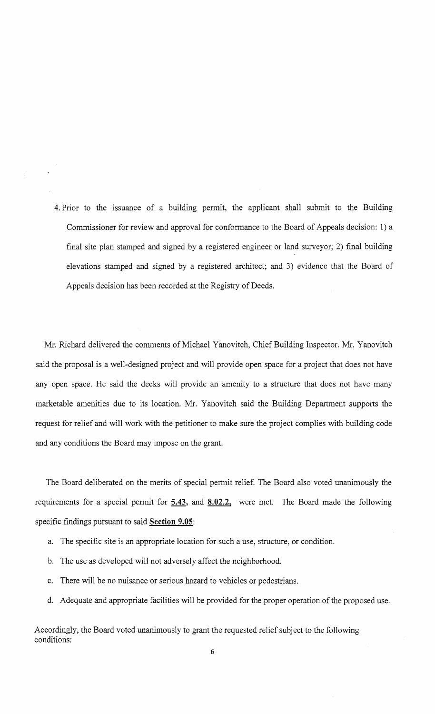4. Prior to the issuance of a building permit, the applicant shall submit to the Building Commissioner for review and approval for conformance to the Board of Appeals decision: 1) a final site plan stamped and signed by a registered engineer or land surveyor; 2) fmal building elevations stamped and signed by a registered architect; and 3) evidence that the Board of Appeals decision has been recorded at the Registry of Deeds.

Mr. Richard delivered the comments of Michael Yanovitch, Chief Building Inspector. Mr. Yanovitch said the proposal is a well-designed project and will provide open space for a project that does not have any open space. He said the decks will provide an amenity to a structure that does not have many marketable amenities due to its location. Mr. Yanovitch said the Building Department supports the request for relief and will work with the petitioner to make sure the project complies with building code and any conditions the Board may impose on the grant.

The Board deliberated on the merits of special permit relief. The Board also voted unanimously the requirements for a special permit for **5.43, and 8.02.2,** were met. The Board made the following specific findings pursuant to said **Section 9.05:** 

- a. The specific site is an appropriate location for such a use, structure, or condition.
- b. The use as developed will not adversely affect the neighborhood.
- c. There will be no nuisance or serious hazard to vehicles or pedestrians.
- d. Adequate and appropriate facilities will be provided for the proper operation of the proposed use.

Accordingly, the Board voted unanimously to grant the requested relief subject to the following conditions: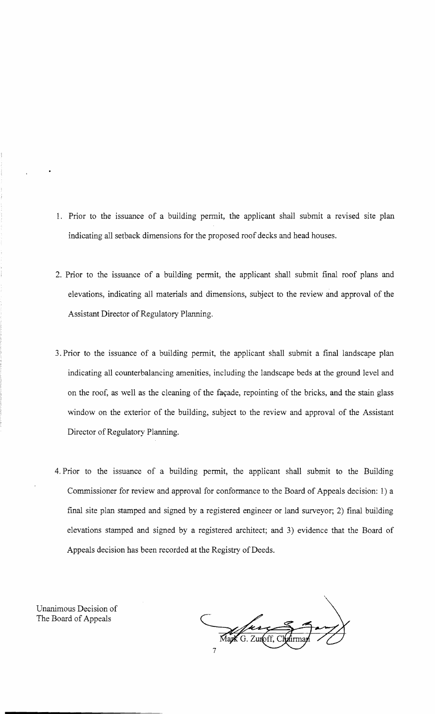- 1. Prior to the issuance of a building permit, the applicant shall submit a revised site plan indicating all setback dimensions for the proposed roof decks and head houses.
- 2. Prior to the issuance of a building permit, the applicant shall submit final roof plans and elevations, indicating all materials and dimensions, subject to the review and approval of the Assistant Director of Regulatory Planning.
- 3. Prior to the issuance of a building permit, the applicant shall submit a final landscape plan indicating all counterbalancing amenities, including the landscape beds at the ground level and on the roof, as well as the cleaning of the façade, repointing of the bricks, and the stain glass window on the exterior of the building, subject to the review and approval of the Assistant Director of Regulatory Planning.
- 4. Prior to the issuance of a building permit, the applicant shall submit to the Building Commissioner for review and approval for conformance to the Board of Appeals decision: 1) a final site plan stamped and signed by a registered engineer or land surveyor; 2) final building elevations stamped and signed by a registered architect; and 3) evidence that the Board of Appeals decision has been recorded at the Registry of Deeds.

Unanimous Decision of The Board of Appeals